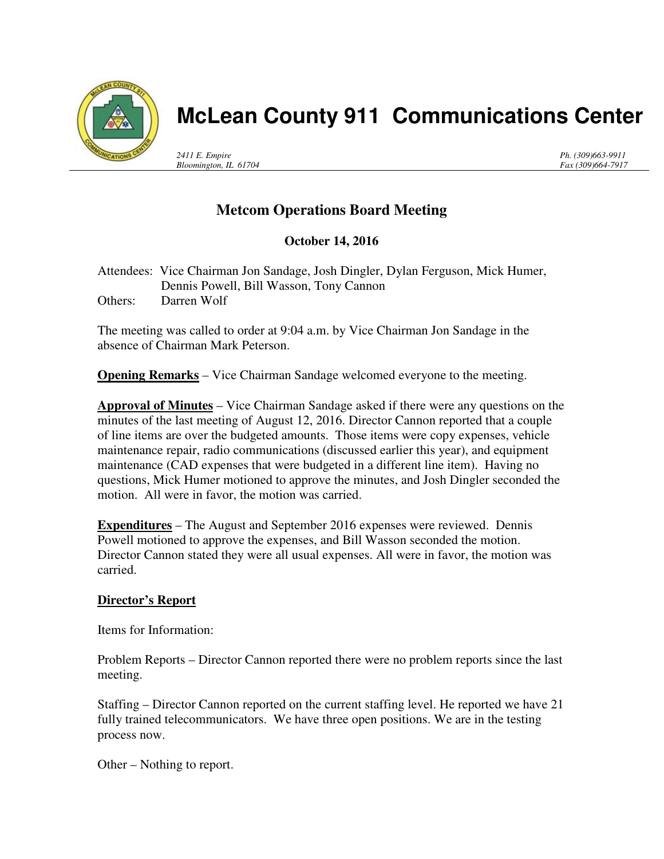

# **McLean County 911 Communications Center**

*2411 E. Empire Bloomington, IL 61704* *Ph. (309)663-9911 Fax (309)664-7917*

# **Metcom Operations Board Meeting**

## **October 14, 2016**

Attendees: Vice Chairman Jon Sandage, Josh Dingler, Dylan Ferguson, Mick Humer, Dennis Powell, Bill Wasson, Tony Cannon Others: Darren Wolf

The meeting was called to order at 9:04 a.m. by Vice Chairman Jon Sandage in the absence of Chairman Mark Peterson.

**Opening Remarks** – Vice Chairman Sandage welcomed everyone to the meeting.

**Approval of Minutes** – Vice Chairman Sandage asked if there were any questions on the minutes of the last meeting of August 12, 2016. Director Cannon reported that a couple of line items are over the budgeted amounts. Those items were copy expenses, vehicle maintenance repair, radio communications (discussed earlier this year), and equipment maintenance (CAD expenses that were budgeted in a different line item). Having no questions, Mick Humer motioned to approve the minutes, and Josh Dingler seconded the motion. All were in favor, the motion was carried.

**Expenditures** – The August and September 2016 expenses were reviewed. Dennis Powell motioned to approve the expenses, and Bill Wasson seconded the motion. Director Cannon stated they were all usual expenses. All were in favor, the motion was carried.

### **Director's Report**

Items for Information:

Problem Reports – Director Cannon reported there were no problem reports since the last meeting.

Staffing – Director Cannon reported on the current staffing level. He reported we have 21 fully trained telecommunicators. We have three open positions. We are in the testing process now.

Other – Nothing to report.